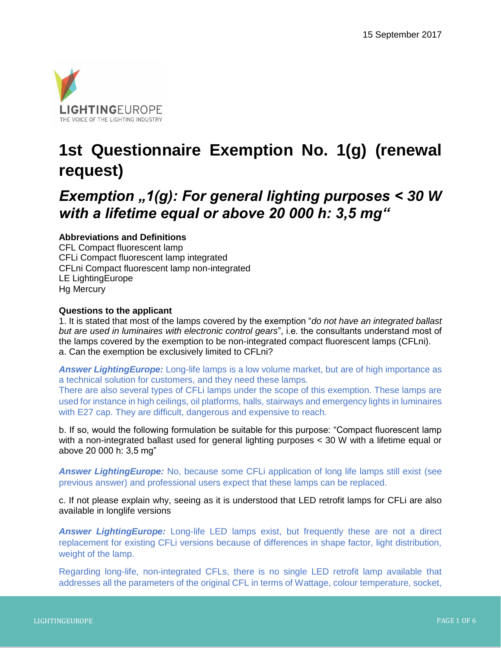

# **1st Questionnaire Exemption No. 1(g) (renewal request)**

*Exemption "1(g): For general lighting purposes < 30 W with a lifetime equal or above 20 000 h: 3,5 mg"* 

# **Abbreviations and Definitions**

CFL Compact fluorescent lamp CFLi Compact fluorescent lamp integrated CFLni Compact fluorescent lamp non-integrated LE LightingEurope Hg Mercury

#### **Questions to the applicant**

1. It is stated that most of the lamps covered by the exemption "*do not have an integrated ballast but are used in luminaires with electronic control gears*", i.e. the consultants understand most of the lamps covered by the exemption to be non-integrated compact fluorescent lamps (CFLni). a. Can the exemption be exclusively limited to CFLni?

*Answer LightingEurope:* Long-life lamps is a low volume market, but are of high importance as a technical solution for customers, and they need these lamps.

There are also several types of CFLi lamps under the scope of this exemption. These lamps are used for instance in high ceilings, oil platforms, halls, stairways and emergency lights in luminaires with E27 cap. They are difficult, dangerous and expensive to reach.

b. If so, would the following formulation be suitable for this purpose: "Compact fluorescent lamp with a non-integrated ballast used for general lighting purposes < 30 W with a lifetime equal or above 20 000 h: 3,5 mg"

**Answer LightingEurope:** No, because some CFLi application of long life lamps still exist (see previous answer) and professional users expect that these lamps can be replaced.

c. If not please explain why, seeing as it is understood that LED retrofit lamps for CFLi are also available in longlife versions

*Answer LightingEurope:* Long-life LED lamps exist, but frequently these are not a direct replacement for existing CFLi versions because of differences in shape factor, light distribution, weight of the lamp.

Regarding long-life, non-integrated CFLs, there is no single LED retrofit lamp available that addresses all the parameters of the original CFL in terms of Wattage, colour temperature, socket,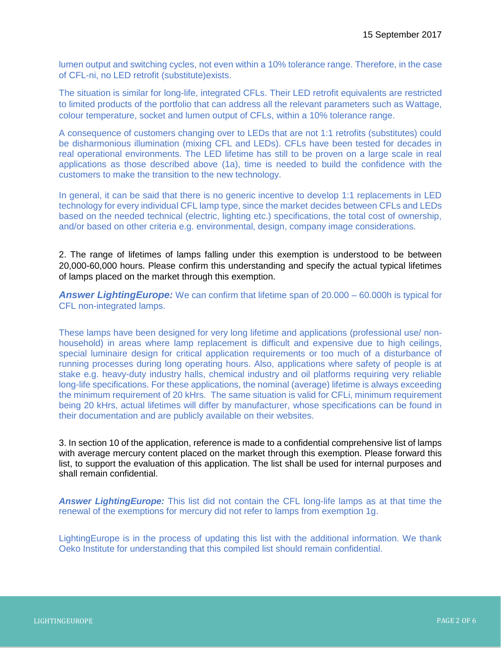lumen output and switching cycles, not even within a 10% tolerance range. Therefore, in the case of CFL-ni, no LED retrofit (substitute)exists.

The situation is similar for long-life, integrated CFLs. Their LED retrofit equivalents are restricted to limited products of the portfolio that can address all the relevant parameters such as Wattage, colour temperature, socket and lumen output of CFLs, within a 10% tolerance range.

A consequence of customers changing over to LEDs that are not 1:1 retrofits (substitutes) could be disharmonious illumination (mixing CFL and LEDs). CFLs have been tested for decades in real operational environments. The LED lifetime has still to be proven on a large scale in real applications as those described above (1a), time is needed to build the confidence with the customers to make the transition to the new technology.

In general, it can be said that there is no generic incentive to develop 1:1 replacements in LED technology for every individual CFL lamp type, since the market decides between CFLs and LEDs based on the needed technical (electric, lighting etc.) specifications, the total cost of ownership, and/or based on other criteria e.g. environmental, design, company image considerations.

2. The range of lifetimes of lamps falling under this exemption is understood to be between 20,000-60,000 hours. Please confirm this understanding and specify the actual typical lifetimes of lamps placed on the market through this exemption.

*Answer LightingEurope:* We can confirm that lifetime span of 20.000 – 60.000h is typical for CFL non-integrated lamps.

These lamps have been designed for very long lifetime and applications (professional use/ nonhousehold) in areas where lamp replacement is difficult and expensive due to high ceilings, special luminaire design for critical application requirements or too much of a disturbance of running processes during long operating hours. Also, applications where safety of people is at stake e.g. heavy-duty industry halls, chemical industry and oil platforms requiring very reliable long-life specifications. For these applications, the nominal (average) lifetime is always exceeding the minimum requirement of 20 kHrs. The same situation is valid for CFLi, minimum requirement being 20 kHrs, actual lifetimes will differ by manufacturer, whose specifications can be found in their documentation and are publicly available on their websites.

3. In section 10 of the application, reference is made to a confidential comprehensive list of lamps with average mercury content placed on the market through this exemption. Please forward this list, to support the evaluation of this application. The list shall be used for internal purposes and shall remain confidential.

*Answer LightingEurope:* This list did not contain the CFL long-life lamps as at that time the renewal of the exemptions for mercury did not refer to lamps from exemption 1g.

LightingEurope is in the process of updating this list with the additional information. We thank Oeko Institute for understanding that this compiled list should remain confidential.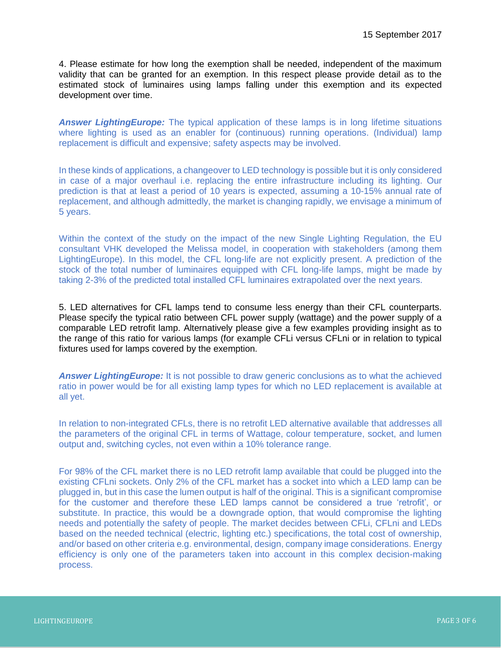4. Please estimate for how long the exemption shall be needed, independent of the maximum validity that can be granted for an exemption. In this respect please provide detail as to the estimated stock of luminaires using lamps falling under this exemption and its expected development over time.

**Answer LightingEurope:** The typical application of these lamps is in long lifetime situations where lighting is used as an enabler for (continuous) running operations. (Individual) lamp replacement is difficult and expensive; safety aspects may be involved.

In these kinds of applications, a changeover to LED technology is possible but it is only considered in case of a major overhaul i.e. replacing the entire infrastructure including its lighting. Our prediction is that at least a period of 10 years is expected, assuming a 10-15% annual rate of replacement, and although admittedly, the market is changing rapidly, we envisage a minimum of 5 years.

Within the context of the study on the impact of the new Single Lighting Regulation, the EU consultant VHK developed the Melissa model, in cooperation with stakeholders (among them LightingEurope). In this model, the CFL long-life are not explicitly present. A prediction of the stock of the total number of luminaires equipped with CFL long-life lamps, might be made by taking 2-3% of the predicted total installed CFL luminaires extrapolated over the next years.

5. LED alternatives for CFL lamps tend to consume less energy than their CFL counterparts. Please specify the typical ratio between CFL power supply (wattage) and the power supply of a comparable LED retrofit lamp. Alternatively please give a few examples providing insight as to the range of this ratio for various lamps (for example CFLi versus CFLni or in relation to typical fixtures used for lamps covered by the exemption.

**Answer LightingEurope:** It is not possible to draw generic conclusions as to what the achieved ratio in power would be for all existing lamp types for which no LED replacement is available at all yet.

In relation to non-integrated CFLs, there is no retrofit LED alternative available that addresses all the parameters of the original CFL in terms of Wattage, colour temperature, socket, and lumen output and, switching cycles, not even within a 10% tolerance range.

For 98% of the CFL market there is no LED retrofit lamp available that could be plugged into the existing CFLni sockets. Only 2% of the CFL market has a socket into which a LED lamp can be plugged in, but in this case the lumen output is half of the original. This is a significant compromise for the customer and therefore these LED lamps cannot be considered a true 'retrofit', or substitute. In practice, this would be a downgrade option, that would compromise the lighting needs and potentially the safety of people. The market decides between CFLi, CFLni and LEDs based on the needed technical (electric, lighting etc.) specifications, the total cost of ownership, and/or based on other criteria e.g. environmental, design, company image considerations. Energy efficiency is only one of the parameters taken into account in this complex decision-making process.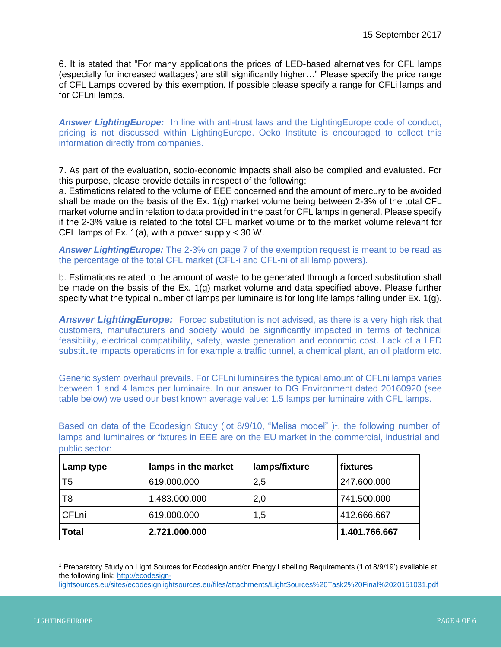6. It is stated that "For many applications the prices of LED-based alternatives for CFL lamps (especially for increased wattages) are still significantly higher…" Please specify the price range of CFL Lamps covered by this exemption. If possible please specify a range for CFLi lamps and for CFLni lamps.

*Answer LightingEurope:* In line with anti-trust laws and the LightingEurope code of conduct, pricing is not discussed within LightingEurope. Oeko Institute is encouraged to collect this information directly from companies.

7. As part of the evaluation, socio-economic impacts shall also be compiled and evaluated. For this purpose, please provide details in respect of the following:

a. Estimations related to the volume of EEE concerned and the amount of mercury to be avoided shall be made on the basis of the Ex. 1(g) market volume being between 2-3% of the total CFL market volume and in relation to data provided in the past for CFL lamps in general. Please specify if the 2-3% value is related to the total CFL market volume or to the market volume relevant for CFL lamps of Ex. 1(a), with a power supply < 30 W.

#### *Answer LightingEurope:* The 2-3% on page 7 of the exemption request is meant to be read as the percentage of the total CFL market (CFL-i and CFL-ni of all lamp powers).

b. Estimations related to the amount of waste to be generated through a forced substitution shall be made on the basis of the Ex. 1(g) market volume and data specified above. Please further specify what the typical number of lamps per luminaire is for long life lamps falling under Ex. 1(g).

**Answer LightingEurope:** Forced substitution is not advised, as there is a very high risk that customers, manufacturers and society would be significantly impacted in terms of technical feasibility, electrical compatibility, safety, waste generation and economic cost. Lack of a LED substitute impacts operations in for example a traffic tunnel, a chemical plant, an oil platform etc.

Generic system overhaul prevails. For CFLni luminaires the typical amount of CFLni lamps varies between 1 and 4 lamps per luminaire. In our answer to DG Environment dated 20160920 (see table below) we used our best known average value: 1.5 lamps per luminaire with CFL lamps.

| DUDIIC SECIOI. |                     |               |               |
|----------------|---------------------|---------------|---------------|
| Lamp type      | lamps in the market | lamps/fixture | fixtures      |
| T5             | 619.000.000         | 2,5           | 247.600.000   |
| T8             | 1.483.000.000       | 2,0           | 741.500.000   |
| <b>CFLni</b>   | 619.000.000         | 1,5           | 412.666.667   |
| <b>Total</b>   | 2.721.000.000       |               | 1.401.766.667 |

Based on data of the Ecodesign Study (lot 8/9/10, "Melisa model")<sup>1</sup>, the following number of lamps and luminaires or fixtures in EEE are on the EU market in the commercial, industrial and public sector:

 $\overline{\phantom{a}}$ 

<sup>1</sup> Preparatory Study on Light Sources for Ecodesign and/or Energy Labelling Requirements ('Lot 8/9/19') available at the following link: [http://ecodesign-](http://ecodesign-lightsources.eu/sites/ecodesign-lightsources.eu/files/attachments/LightSources%20Task2%20Final%2020151031.pdf)

[lightsources.eu/sites/ecodesignlightsources.eu/files/attachments/LightSources%20Task2%20Final%2020151031.pdf](http://ecodesign-lightsources.eu/sites/ecodesign-lightsources.eu/files/attachments/LightSources%20Task2%20Final%2020151031.pdf)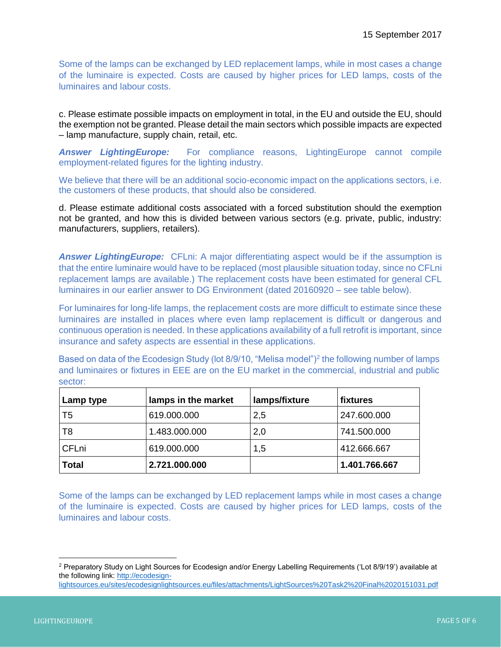Some of the lamps can be exchanged by LED replacement lamps, while in most cases a change of the luminaire is expected. Costs are caused by higher prices for LED lamps, costs of the luminaires and labour costs.

c. Please estimate possible impacts on employment in total, in the EU and outside the EU, should the exemption not be granted. Please detail the main sectors which possible impacts are expected – lamp manufacture, supply chain, retail, etc.

*Answer LightingEurope:* For compliance reasons, LightingEurope cannot compile employment-related figures for the lighting industry.

We believe that there will be an additional socio-economic impact on the applications sectors, i.e. the customers of these products, that should also be considered.

d. Please estimate additional costs associated with a forced substitution should the exemption not be granted, and how this is divided between various sectors (e.g. private, public, industry: manufacturers, suppliers, retailers).

**Answer LightingEurope:** CFLni: A major differentiating aspect would be if the assumption is that the entire luminaire would have to be replaced (most plausible situation today, since no CFLni replacement lamps are available.) The replacement costs have been estimated for general CFL luminaires in our earlier answer to DG Environment (dated 20160920 – see table below).

For luminaires for long-life lamps, the replacement costs are more difficult to estimate since these luminaires are installed in places where even lamp replacement is difficult or dangerous and continuous operation is needed. In these applications availability of a full retrofit is important, since insurance and safety aspects are essential in these applications.

Based on data of the Ecodesign Study (lot 8/9/10, "Melisa model")<sup>2</sup> the following number of lamps and luminaires or fixtures in EEE are on the EU market in the commercial, industrial and public sector:

| Lamp type    | lamps in the market | lamps/fixture | fixtures      |
|--------------|---------------------|---------------|---------------|
| T5           | 619.000.000         | 2,5           | 247.600.000   |
| T8           | 1.483.000.000       | 2,0           | 741.500.000   |
| <b>CFLni</b> | 619.000.000         | 1,5           | 412.666.667   |
| <b>Total</b> | 2.721.000.000       |               | 1.401.766.667 |

Some of the lamps can be exchanged by LED replacement lamps while in most cases a change of the luminaire is expected. Costs are caused by higher prices for LED lamps, costs of the luminaires and labour costs.

 $\overline{\phantom{a}}$ 

<sup>2</sup> Preparatory Study on Light Sources for Ecodesign and/or Energy Labelling Requirements ('Lot 8/9/19') available at the following link: [http://ecodesign-](http://ecodesign-lightsources.eu/sites/ecodesign-lightsources.eu/files/attachments/LightSources%20Task2%20Final%2020151031.pdf)

[lightsources.eu/sites/ecodesignlightsources.eu/files/attachments/LightSources%20Task2%20Final%2020151031.pdf](http://ecodesign-lightsources.eu/sites/ecodesign-lightsources.eu/files/attachments/LightSources%20Task2%20Final%2020151031.pdf)